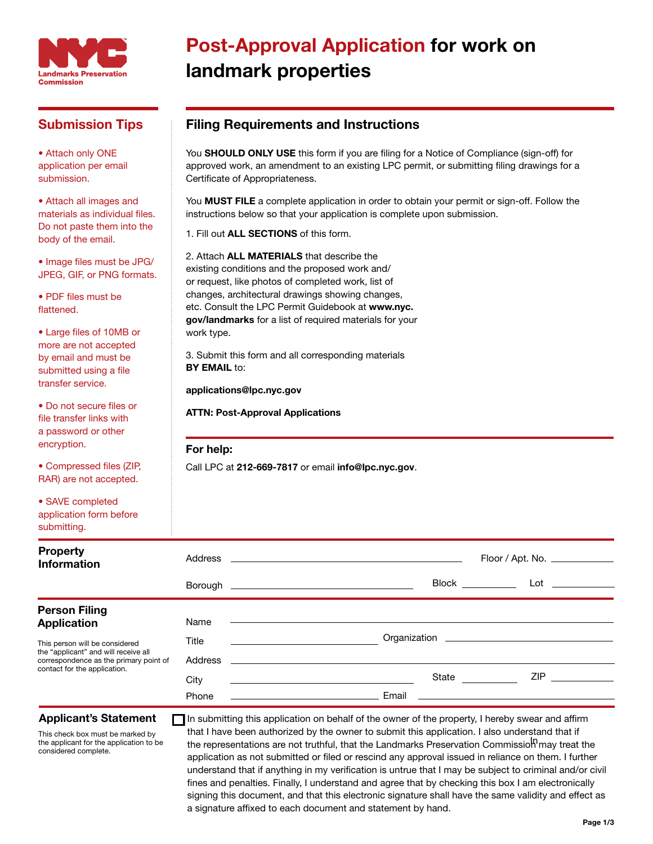

### Submission Tips

• Attach only ONE application per email submission.

• Attach all images and materials as individual files. Do not paste them into the body of the email.

• Image files must be JPG/ JPEG, GIF, or PNG formats.

• PDF files must be flattened.

• Large files of 10MB or more are not accepted by email and must be submitted using a file transfer service.

• Do not secure files or file transfer links with a password or other encryption.

• Compressed files (ZIP, RAR) are not accepted.

• SAVE completed application form before submitting.

## Post-Approval Application for work on landmark properties

### Filing Requirements and Instructions

You SHOULD ONLY USE this form if you are filing for a Notice of Compliance (sign-off) for approved work, an amendment to an existing LPC permit, or submitting filing drawings for a Certificate of Appropriateness.

You **MUST FILE** a complete application in order to obtain your permit or sign-off. Follow the instructions below so that your application is complete upon submission.

1. Fill out ALL SECTIONS of this form.

2. Attach ALL MATERIALS that describe the existing conditions and the proposed work and/ or request, like photos of completed work, list of changes, architectural drawings showing changes, etc. Consult the LPC Permit Guidebook at www.nyc. gov/landmarks for a list of required materials for your work type.

3. Submit this form and all corresponding materials **BY EMAIL to:** 

applications@lpc.nyc.gov

ATTN: Post-Approval Applications

#### For help:

Call LPC at 212-669-7817 or email info@lpc.nyc.gov.

| <b>Property</b><br><b>Information</b>                                                                                                            |         | $Floor /$ Apt. No. $\_\_\_\_\_\_\_\_\_\_\_\_\_\_\_\_\_\_\_\_\_\_\_\_\_\_\_\_\_\_\_$ |
|--------------------------------------------------------------------------------------------------------------------------------------------------|---------|-------------------------------------------------------------------------------------|
|                                                                                                                                                  |         | <b>Block Exercise Exercise</b><br>$Lot \qquad \qquad$                               |
| <b>Person Filing</b>                                                                                                                             |         |                                                                                     |
| <b>Application</b>                                                                                                                               | Name    |                                                                                     |
| This person will be considered<br>the "applicant" and will receive all<br>correspondence as the primary point of<br>contact for the application. | Title   |                                                                                     |
|                                                                                                                                                  | Address |                                                                                     |
|                                                                                                                                                  | City    | ZIP 20<br>State <u>and</u>                                                          |
|                                                                                                                                                  | Phone   | Email<br><u> 1989 - John Stein, Amerikaansk politiker (</u>                         |

#### Applicant's Statement

This check box must be marked by the applicant for the application to be considered complete.

the representations are not truthful, that the Landmarks Preservation Commissio<sup>l</sup> may treat the In submitting this application on behalf of the owner of the property, I hereby swear and affirm that I have been authorized by the owner to submit this application. I also understand that if application as not submitted or filed or rescind any approval issued in reliance on them. I further understand that if anything in my verification is untrue that I may be subject to criminal and/or civil fines and penalties. Finally, I understand and agree that by checking this box I am electronically signing this document, and that this electronic signature shall have the same validity and effect as a signature affixed to each document and statement by hand.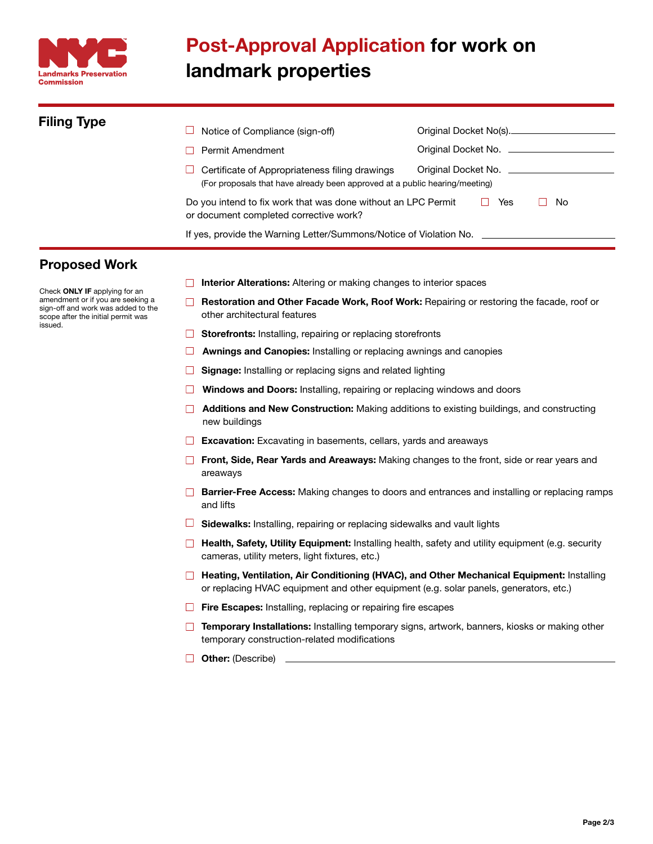

# Post-Approval Application for work on landmark properties

| <b>Filing Type</b> | Notice of Compliance (sign-off)                                                                                               | Original Docket No(s).        |  |  |  |  |
|--------------------|-------------------------------------------------------------------------------------------------------------------------------|-------------------------------|--|--|--|--|
|                    | Permit Amendment                                                                                                              | Original Docket No. ___       |  |  |  |  |
|                    | Certificate of Appropriateness filing drawings<br>(For proposals that have already been approved at a public hearing/meeting) | Original Docket No. _________ |  |  |  |  |
|                    | Do you intend to fix work that was done without an LPC Permit<br>Yes<br>No<br>or document completed corrective work?          |                               |  |  |  |  |
|                    | If yes, provide the Warning Letter/Summons/Notice of Violation No. _____________                                              |                               |  |  |  |  |

### Proposed Work

Check ONLY IF applying for an amendment or if you are seeking a sign-off and work was added to the scope after the initial permit was issued.

- $\Box$  Interior Alterations: Altering or making changes to interior spaces
- $\Box$  Restoration and Other Facade Work, Roof Work: Repairing or restoring the facade, roof or other architectural features
- $\Box$  Storefronts: Installing, repairing or replacing storefronts
- **E** Awnings and Canopies: Installing or replacing awnings and canopies
- $\Box$  Signage: Installing or replacing signs and related lighting
- $\Box$  Windows and Doors: Installing, repairing or replacing windows and doors
- **Additions and New Construction:** Making additions to existing buildings, and constructing new buildings
- $\Box$  Excavation: Excavating in basements, cellars, yards and areaways
- Front, Side, Rear Yards and Areaways: Making changes to the front, side or rear years and areaways
- □ Barrier-Free Access: Making changes to doors and entrances and installing or replacing ramps and lifts
- $\Box$  Sidewalks: Installing, repairing or replacing sidewalks and vault lights
- □ Health, Safety, Utility Equipment: Installing health, safety and utility equipment (e.g. security cameras, utility meters, light fixtures, etc.)
- □ Heating, Ventilation, Air Conditioning (HVAC), and Other Mechanical Equipment: Installing or replacing HVAC equipment and other equipment (e.g. solar panels, generators, etc.)
- $\Box$  Fire Escapes: Installing, replacing or repairing fire escapes
- $\Box$  Temporary Installations: Installing temporary signs, artwork, banners, kiosks or making other temporary construction-related modifications
- **Other:** (Describe)